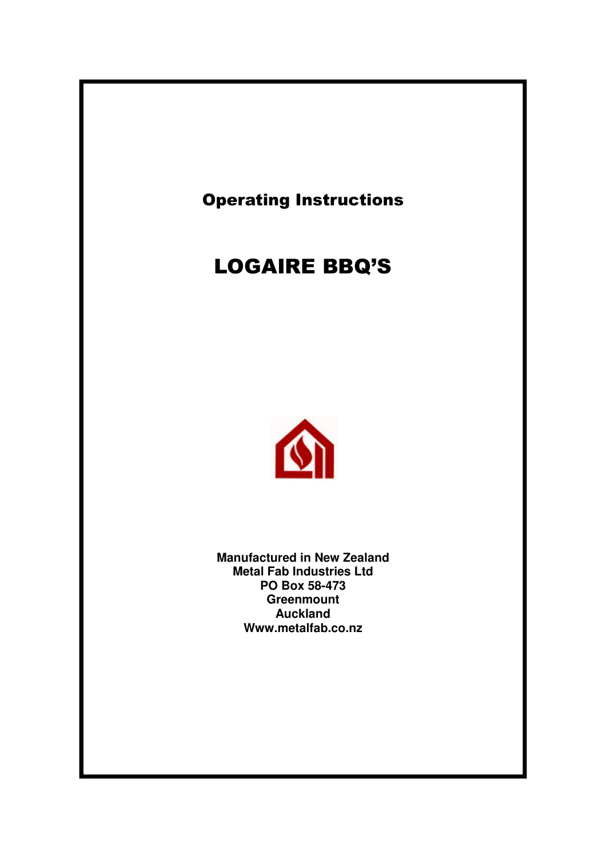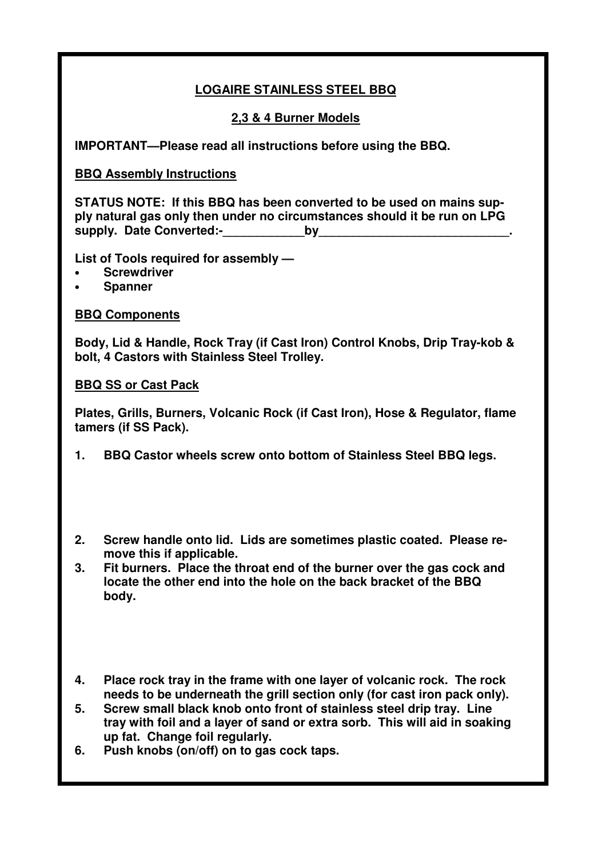### **LOGAIRE STAINLESS STEEL BBQ**

### **2,3 & 4 Burner Models**

**IMPORTANT—Please read all instructions before using the BBQ.**

### **BBQ Assembly Instructions**

**STATUS NOTE: If this BBQ has been converted to be used on mains supply natural gas only then under no circumstances should it be run on LPG supply. Date Converted:-\_\_\_\_\_\_\_\_\_\_\_\_by\_\_\_\_\_\_\_\_\_\_\_\_\_\_\_\_\_\_\_\_\_\_\_\_\_\_\_\_.**

**List of Tools required for assembly —**

- **Screwdriver**
- **Spanner**

**BBQ Components**

**Body, Lid & Handle, Rock Tray (if Cast Iron) Control Knobs, Drip Tray-kob & bolt, 4 Castors with Stainless Steel Trolley.**

#### **BBQ SS or Cast Pack**

**Plates, Grills, Burners, Volcanic Rock (if Cast Iron), Hose & Regulator, flame tamers (if SS Pack).**

- **1. BBQ Castor wheels screw onto bottom of Stainless Steel BBQ legs.**
- **2. Screw handle onto lid. Lids are sometimes plastic coated. Please remove this if applicable.**
- **3. Fit burners. Place the throat end of the burner over the gas cock and locate the other end into the hole on the back bracket of the BBQ body.**
- **4. Place rock tray in the frame with one layer of volcanic rock. The rock needs to be underneath the grill section only (for cast iron pack only).**
- **5. Screw small black knob onto front of stainless steel drip tray. Line tray with foil and a layer of sand or extra sorb. This will aid in soaking up fat. Change foil regularly.**
- **6. Push knobs (on/off) on to gas cock taps.**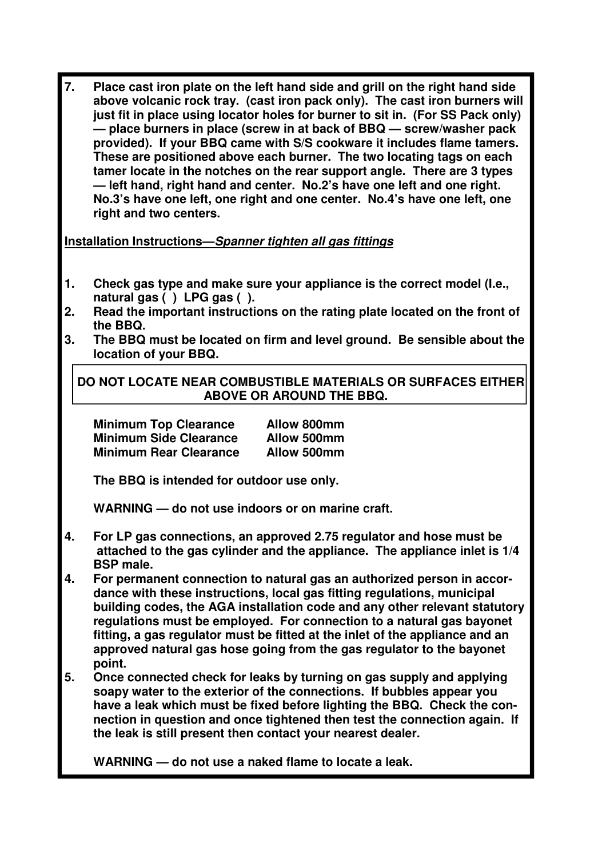**7. Place cast iron plate on the left hand side and grill on the right hand side above volcanic rock tray. (cast iron pack only). The cast iron burners will just fit in place using locator holes for burner to sit in. (For SS Pack only) — place burners in place (screw in at back of BBQ — screw/washer pack provided). If your BBQ came with S/S cookware it includes flame tamers. These are positioned above each burner. The two locating tags on each tamer locate in the notches on the rear support angle. There are 3 types — left hand, right hand and center. No.2's have one left and one right. No.3's have one left, one right and one center. No.4's have one left, one right and two centers.**

**Installation Instructions—***Spanner tighten all gas fittings*

- **1. Check gas type and make sure your appliance is the correct model (I.e., natural gas ( ) LPG gas ( ).**
- **2. Read the important instructions on the rating plate located on the front of the BBQ.**
- **3. The BBQ must be located on firm and level ground. Be sensible about the location of your BBQ.**

**DO NOT LOCATE NEAR COMBUSTIBLE MATERIALS OR SURFACES EITHER ABOVE OR AROUND THE BBQ.**

| <b>Minimum Top Clearance</b>  | Allow 800mm |
|-------------------------------|-------------|
| <b>Minimum Side Clearance</b> | Allow 500mm |
| <b>Minimum Rear Clearance</b> | Allow 500mm |

**The BBQ is intended for outdoor use only.**

**WARNING — do not use indoors or on marine craft.**

- **4. For LP gas connections, an approved 2.75 regulator and hose must be attached to the gas cylinder and the appliance. The appliance inlet is 1/4 BSP male.**
- **4. For permanent connection to natural gas an authorized person in accordance with these instructions, local gas fitting regulations, municipal building codes, the AGA installation code and any other relevant statutory regulations must be employed. For connection to a natural gas bayonet fitting, a gas regulator must be fitted at the inlet of the appliance and an approved natural gas hose going from the gas regulator to the bayonet point.**
- **5. Once connected check for leaks by turning on gas supply and applying soapy water to the exterior of the connections. If bubbles appear you have a leak which must be fixed before lighting the BBQ. Check the connection in question and once tightened then test the connection again. If the leak is still present then contact your nearest dealer.**

**WARNING — do not use a naked flame to locate a leak.**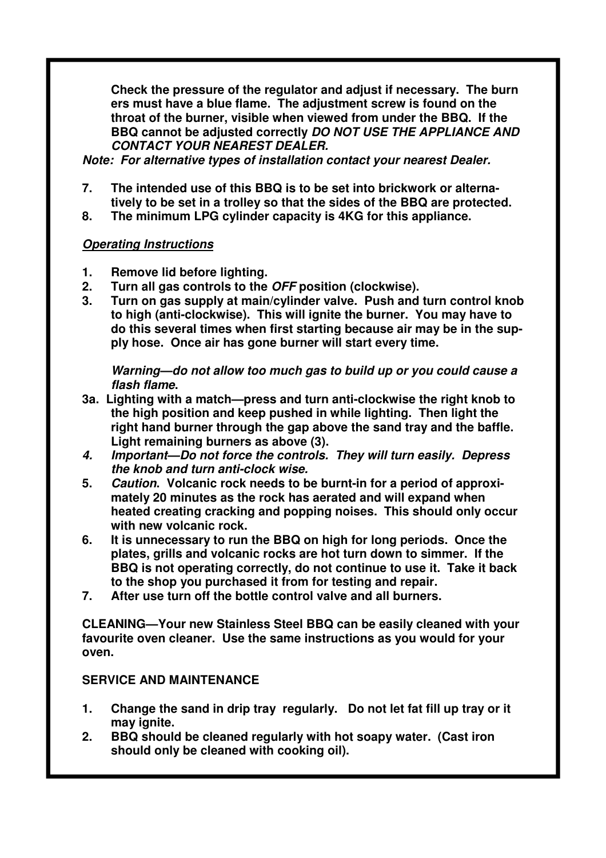**Check the pressure of the regulator and adjust if necessary. The burn ers must have a blue flame. The adjustment screw is found on the throat of the burner, visible when viewed from under the BBQ. If the BBQ cannot be adjusted correctly** *DO NOT USE THE APPLIANCE AND CONTACT YOUR NEAREST DEALER.*

*Note: For alternative types of installation contact your nearest Dealer.*

- **7. The intended use of this BBQ is to be set into brickwork or alternatively to be set in a trolley so that the sides of the BBQ are protected.**
- **8. The minimum LPG cylinder capacity is 4KG for this appliance.**

### *Operating Instructions*

- **1. Remove lid before lighting.**
- **2. Turn all gas controls to the** *OFF* **position (clockwise).**
- **3. Turn on gas supply at main/cylinder valve. Push and turn control knob to high (anti-clockwise). This will ignite the burner. You may have to do this several times when first starting because air may be in the supply hose. Once air has gone burner will start every time.**

*Warning—do not allow too much gas to build up or you could cause a flash flame***.**

- **3a. Lighting with a match—press and turn anti-clockwise the right knob to the high position and keep pushed in while lighting. Then light the right hand burner through the gap above the sand tray and the baffle. Light remaining burners as above (3).**
- *4. Important—Do not force the controls. They will turn easily. Depress the knob and turn anti-clock wise.*
- **5.** *Caution***. Volcanic rock needs to be burnt-in for a period of approximately 20 minutes as the rock has aerated and will expand when heated creating cracking and popping noises. This should only occur with new volcanic rock.**
- **6. It is unnecessary to run the BBQ on high for long periods. Once the plates, grills and volcanic rocks are hot turn down to simmer. If the BBQ is not operating correctly, do not continue to use it. Take it back to the shop you purchased it from for testing and repair.**
- **7. After use turn off the bottle control valve and all burners.**

**CLEANING—Your new Stainless Steel BBQ can be easily cleaned with your favourite oven cleaner. Use the same instructions as you would for your oven.**

### **SERVICE AND MAINTENANCE**

- **1. Change the sand in drip tray regularly. Do not let fat fill up tray or it may ignite.**
- **2. BBQ should be cleaned regularly with hot soapy water. (Cast iron should only be cleaned with cooking oil).**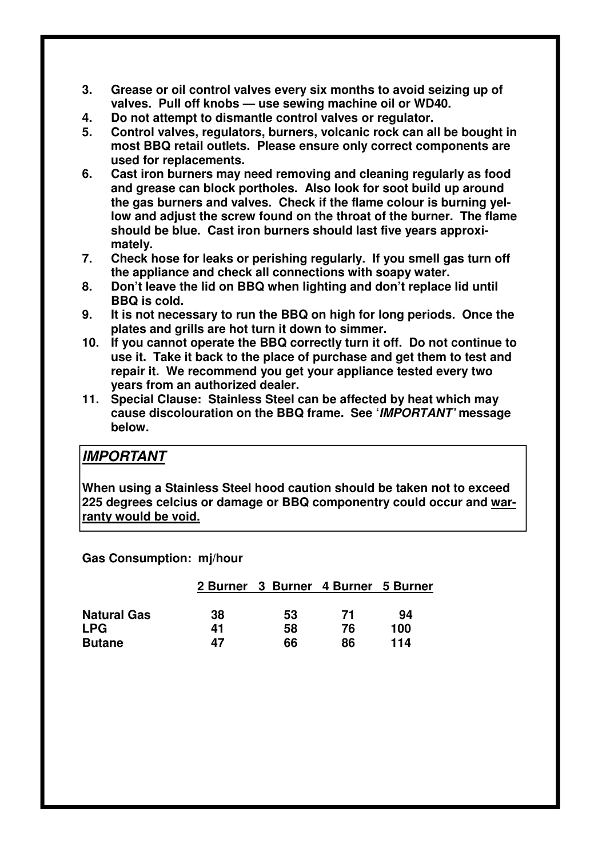- **3. Grease or oil control valves every six months to avoid seizing up of valves. Pull off knobs — use sewing machine oil or WD40.**
- **4. Do not attempt to dismantle control valves or regulator.**
- **5. Control valves, regulators, burners, volcanic rock can all be bought in most BBQ retail outlets. Please ensure only correct components are used for replacements.**
- **6. Cast iron burners may need removing and cleaning regularly as food and grease can block portholes. Also look for soot build up around the gas burners and valves. Check if the flame colour is burning yellow and adjust the screw found on the throat of the burner. The flame should be blue. Cast iron burners should last five years approximately.**
- **7. Check hose for leaks or perishing regularly. If you smell gas turn off the appliance and check all connections with soapy water.**
- **8. Don't leave the lid on BBQ when lighting and don't replace lid until BBQ is cold.**
- **9. It is not necessary to run the BBQ on high for long periods. Once the plates and grills are hot turn it down to simmer.**
- **10. If you cannot operate the BBQ correctly turn it off. Do not continue to use it. Take it back to the place of purchase and get them to test and repair it. We recommend you get your appliance tested every two years from an authorized dealer.**
- **11. Special Clause: Stainless Steel can be affected by heat which may cause discolouration on the BBQ frame. See '***IMPORTANT'* **message below.**

### *IMPORTANT*

**When using a Stainless Steel hood caution should be taken not to exceed 225 degrees celcius or damage or BBQ componentry could occur and warranty would be void.**

**Gas Consumption: mj/hour**

|                    |    | 2 Burner 3 Burner 4 Burner 5 Burner |    |     |
|--------------------|----|-------------------------------------|----|-----|
| <b>Natural Gas</b> | 38 | 53                                  | 71 | 94  |
| <b>LPG</b>         | 41 | 58                                  | 76 | 100 |
| <b>Butane</b>      | 47 | 66                                  | 86 | 114 |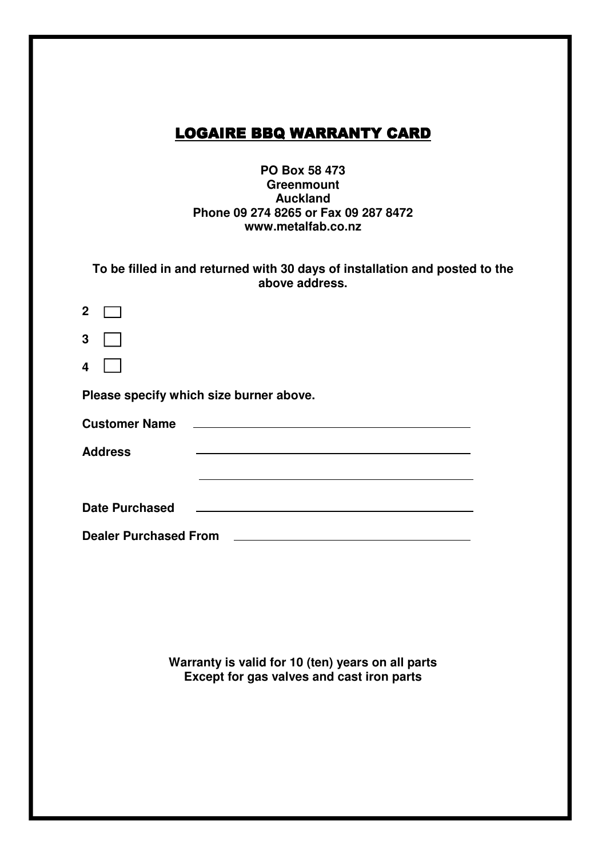# **LOGAIRE BBQ WARRANTY CARD**

#### **PO Box 58 473 Greenmount Auckland Phone 09 274 8265 or Fax 09 287 8472 www.metalfab.co.nz**

| To be filled in and returned with 30 days of installation and posted to the |
|-----------------------------------------------------------------------------|
| above address.                                                              |

| $\mathbf 2$                  |                                         |  |
|------------------------------|-----------------------------------------|--|
| 3                            |                                         |  |
| $\overline{\mathbf{4}}$      |                                         |  |
|                              | Please specify which size burner above. |  |
| <b>Customer Name</b>         |                                         |  |
| <b>Address</b>               |                                         |  |
|                              |                                         |  |
| <b>Date Purchased</b>        |                                         |  |
|                              |                                         |  |
| <b>Dealer Purchased From</b> |                                         |  |

**Warranty is valid for 10 (ten) years on all parts Except for gas valves and cast iron parts**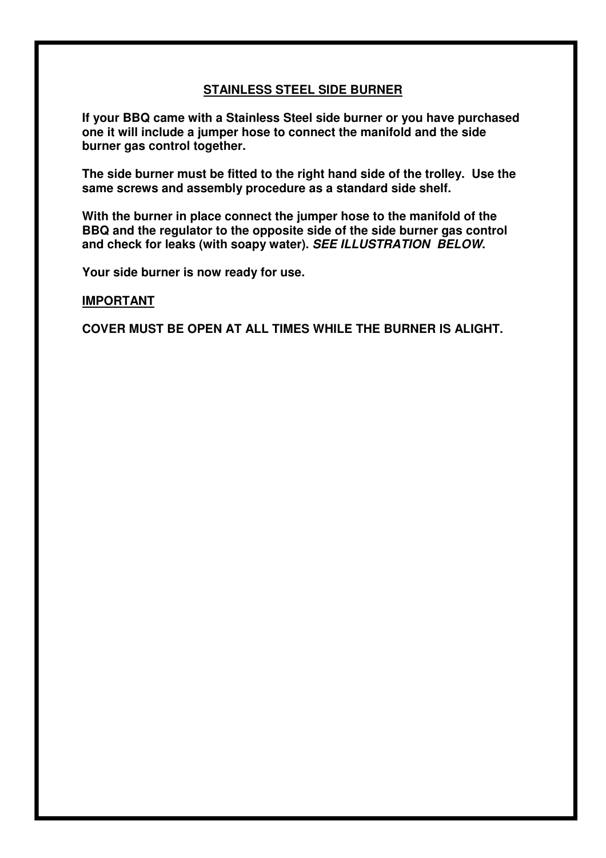### **STAINLESS STEEL SIDE BURNER**

**If your BBQ came with a Stainless Steel side burner or you have purchased one it will include a jumper hose to connect the manifold and the side burner gas control together.**

**The side burner must be fitted to the right hand side of the trolley. Use the same screws and assembly procedure as a standard side shelf.**

**With the burner in place connect the jumper hose to the manifold of the BBQ and the regulator to the opposite side of the side burner gas control and check for leaks (with soapy water).** *SEE ILLUSTRATION BELOW***.**

**Your side burner is now ready for use.**

#### **IMPORTANT**

**COVER MUST BE OPEN AT ALL TIMES WHILE THE BURNER IS ALIGHT.**